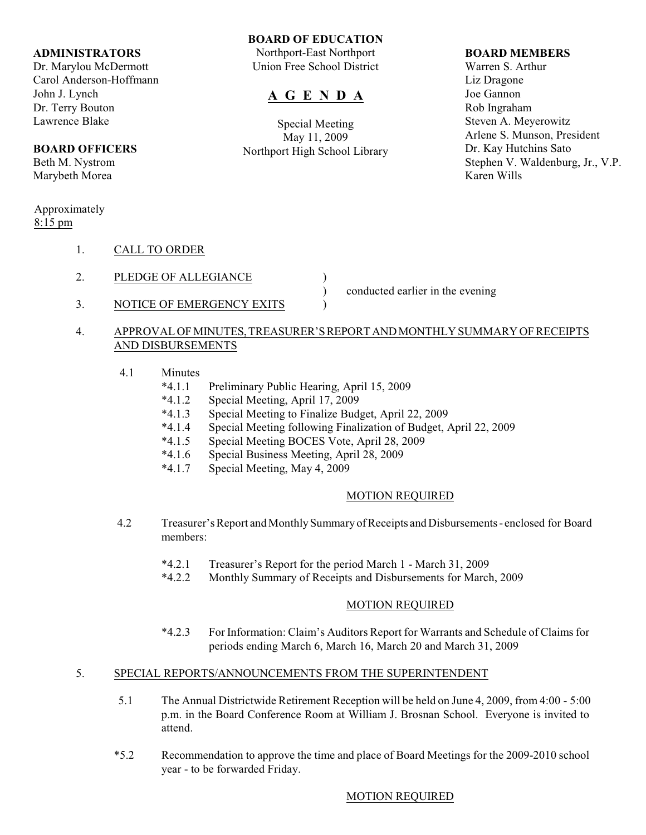#### **ADMINISTRATORS**

Dr. Marylou McDermott Carol Anderson-Hoffmann John J. Lynch Dr. Terry Bouton Lawrence Blake

### **BOARD OFFICERS**

Beth M. Nystrom Marybeth Morea

#### Approximately 8:15 pm

- 1. CALL TO ORDER
- 2. PLEDGE OF ALLEGIANCE
- 3. NOTICE OF EMERGENCY EXITS  $\qquad$ )

) conducted earlier in the evening

# 4. APPROVAL OF MINUTES, TREASURER'S REPORT AND MONTHLY SUMMARY OF RECEIPTS AND DISBURSEMENTS

**BOARD OF EDUCATION** Northport-East Northport Union Free School District

**A G E N D A**

Special Meeting May 11, 2009 Northport High School Library

- 4.1 Minutes
	- \*4.1.1 Preliminary Public Hearing, April 15, 2009
	- Special Meeting, April 17, 2009
	- \*4.1.3 Special Meeting to Finalize Budget, April 22, 2009<br>\*4.1.4 Special Meeting following Finalization of Budget,
	- Special Meeting following Finalization of Budget, April 22, 2009
	- \*4.1.5 Special Meeting BOCES Vote, April 28, 2009
	- \*4.1.6 Special Business Meeting, April 28, 2009
	- Special Meeting, May 4, 2009

### MOTION REQUIRED

- 4.2 Treasurer's Report and Monthly Summary of Receipts and Disbursements enclosed for Board members:
	- \*4.2.1 Treasurer's Report for the period March 1 March 31, 2009
	- \*4.2.2 Monthly Summary of Receipts and Disbursements for March, 2009

#### MOTION REQUIRED

\*4.2.3 For Information: Claim's Auditors Report for Warrants and Schedule of Claims for periods ending March 6, March 16, March 20 and March 31, 2009

# 5. SPECIAL REPORTS/ANNOUNCEMENTS FROM THE SUPERINTENDENT

- 5.1 The Annual Districtwide Retirement Reception will be held on June 4, 2009, from 4:00 5:00 p.m. in the Board Conference Room at William J. Brosnan School. Everyone is invited to attend.
- \*5.2 Recommendation to approve the time and place of Board Meetings for the 2009-2010 school year - to be forwarded Friday.

### MOTION REQUIRED

### **BOARD MEMBERS**

Warren S. Arthur Liz Dragone Joe Gannon Rob Ingraham Steven A. Meyerowitz Arlene S. Munson, President Dr. Kay Hutchins Sato Stephen V. Waldenburg, Jr., V.P. Karen Wills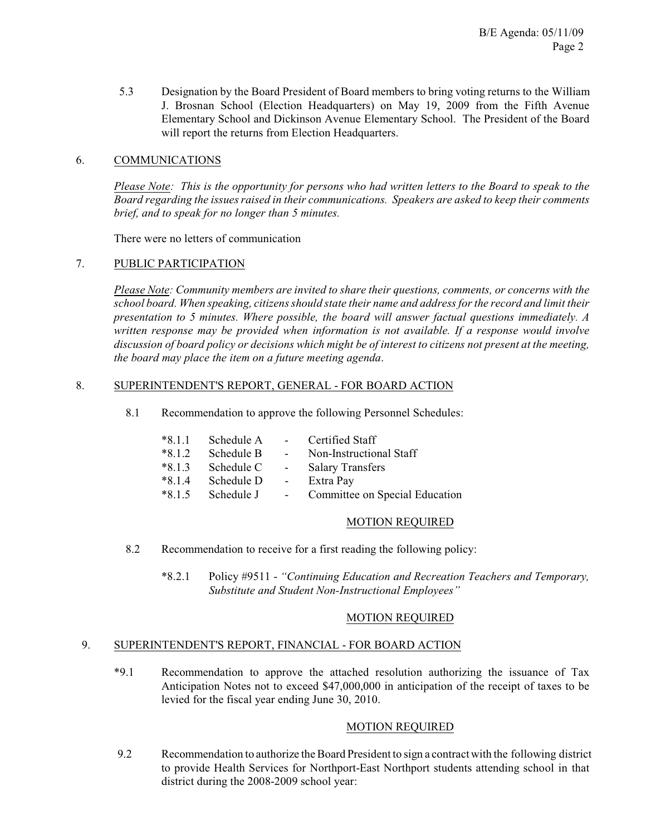5.3 Designation by the Board President of Board members to bring voting returns to the William J. Brosnan School (Election Headquarters) on May 19, 2009 from the Fifth Avenue Elementary School and Dickinson Avenue Elementary School. The President of the Board will report the returns from Election Headquarters.

# 6. COMMUNICATIONS

*Please Note: This is the opportunity for persons who had written letters to the Board to speak to the* Board regarding the issues raised in their communications. Speakers are asked to keep their comments *brief, and to speak for no longer than 5 minutes.*

There were no letters of communication

### 7. PUBLIC PARTICIPATION

*Please Note: Community members are invited to share their questions, comments, or concerns with the school board. When speaking, citizensshould state their name and address for the record and limit their presentation to 5 minutes. Where possible, the board will answer factual questions immediately. A written response may be provided when information is not available. If a response would involve discussion of board policy or decisions which might be of interest to citizens not present at the meeting, the board may place the item on a future meeting agenda*.

### 8. SUPERINTENDENT'S REPORT, GENERAL - FOR BOARD ACTION

8.1 Recommendation to approve the following Personnel Schedules:

| $*8.1.1$ | Schedule A          | $\sim 10^{-11}$ | Certified Staff                |
|----------|---------------------|-----------------|--------------------------------|
| $*8.1.2$ | Schedule B          | $\sim 100$      | Non-Instructional Staff        |
| $*8.1.3$ | Schedule C          | $\sim$ $-$      | <b>Salary Transfers</b>        |
| $*8.1.4$ | Schedule D          | $\sim$ $-$      | Extra Pay                      |
|          | $*8.1.5$ Schedule J | $\sim 10^{-1}$  | Committee on Special Education |

#### MOTION REQUIRED

- 8.2 Recommendation to receive for a first reading the following policy:
	- \*8.2.1 Policy #9511 *"Continuing Education and Recreation Teachers and Temporary, Substitute and Student Non-Instructional Employees"*

### MOTION REQUIRED

# 9. SUPERINTENDENT'S REPORT, FINANCIAL - FOR BOARD ACTION

\*9.1 Recommendation to approve the attached resolution authorizing the issuance of Tax Anticipation Notes not to exceed \$47,000,000 in anticipation of the receipt of taxes to be levied for the fiscal year ending June 30, 2010.

# MOTION REQUIRED

 9.2 Recommendation to authorize the Board President to sign a contract with the following district to provide Health Services for Northport-East Northport students attending school in that district during the 2008-2009 school year: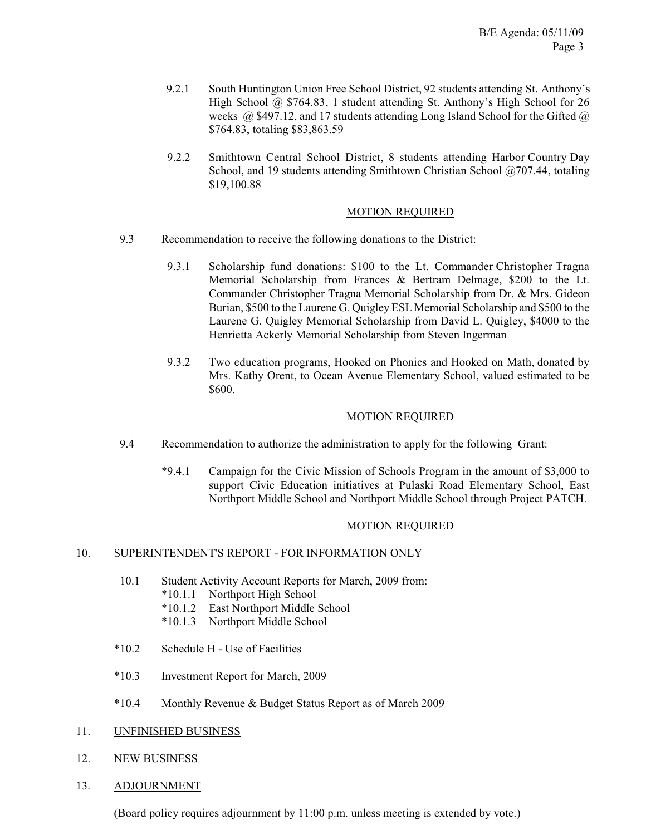- 9.2.1 South Huntington Union Free School District, 92 students attending St. Anthony's High School @ \$764.83, 1 student attending St. Anthony's High School for 26 weeks  $(a)$  \$497.12, and 17 students attending Long Island School for the Gifted  $(a)$ \$764.83, totaling \$83,863.59
- 9.2.2 Smithtown Central School District, 8 students attending Harbor Country Day School, and 19 students attending Smithtown Christian School @707.44, totaling \$19,100.88

## MOTION REQUIRED

- 9.3 Recommendation to receive the following donations to the District:
	- 9.3.1 Scholarship fund donations: \$100 to the Lt. Commander Christopher Tragna Memorial Scholarship from Frances & Bertram Delmage, \$200 to the Lt. Commander Christopher Tragna Memorial Scholarship from Dr. & Mrs. Gideon Burian, \$500 to the Laurene G. Quigley ESL Memorial Scholarship and \$500 to the Laurene G. Quigley Memorial Scholarship from David L. Quigley, \$4000 to the Henrietta Ackerly Memorial Scholarship from Steven Ingerman
	- 9.3.2 Two education programs, Hooked on Phonics and Hooked on Math, donated by Mrs. Kathy Orent, to Ocean Avenue Elementary School, valued estimated to be \$600.

### MOTION REQUIRED

- 9.4 Recommendation to authorize the administration to apply for the following Grant:
	- \*9.4.1 Campaign for the Civic Mission of Schools Program in the amount of \$3,000 to support Civic Education initiatives at Pulaski Road Elementary School, East Northport Middle School and Northport Middle School through Project PATCH.

### MOTION REQUIRED

# 10. SUPERINTENDENT'S REPORT - FOR INFORMATION ONLY

- 10.1 Student Activity Account Reports for March, 2009 from:
	- \*10.1.1 Northport High School
	- \*10.1.2 East Northport Middle School
	- \*10.1.3 Northport Middle School
- \*10.2 Schedule H Use of Facilities
- \*10.3 Investment Report for March, 2009
- \*10.4 Monthly Revenue & Budget Status Report as of March 2009
- 11. UNFINISHED BUSINESS
- 12. NEW BUSINESS
- 13. ADJOURNMENT

(Board policy requires adjournment by 11:00 p.m. unless meeting is extended by vote.)